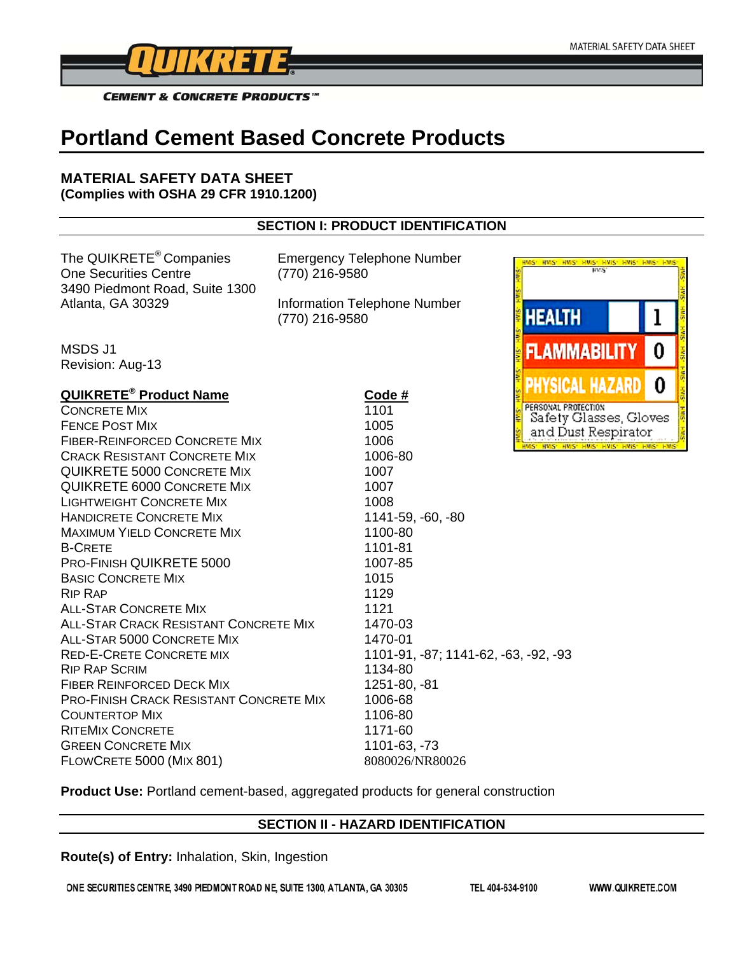

**HAIS** 

**CEMENT & CONCRETE PRODUCTS™** 

# **Portland Cement Based Concrete Products**

#### **MATERIAL SAFETY DATA SHEET (Complies with OSHA 29 CFR 1910.1200)**

# **SECTION I: PRODUCT IDENTIFICATION**

The QUIKRETE® Companies Emergency Telephone Number One Securities Centre (770) 216-9580 3490 Piedmont Road, Suite 1300 Atlanta, GA 30329 Information Telephone Number

(770) 216-9580

MSDS J1 Revision: Aug-13

| <b>QUIKRETE<sup>®</sup> Product Name</b>       | Code #                               | экл                 |
|------------------------------------------------|--------------------------------------|---------------------|
| <b>CONCRETE MIX</b>                            | 1101                                 | PERSONAL PRI        |
| <b>FENCE POST MIX</b>                          | 1005                                 | Safety (<br>and Du  |
| <b>FIBER-REINFORCED CONCRETE MIX</b>           | 1006                                 | <b>WS. HAZ. HAZ</b> |
| <b>CRACK RESISTANT CONCRETE MIX</b>            | 1006-80                              |                     |
| <b>QUIKRETE 5000 CONCRETE MIX</b>              | 1007                                 |                     |
| <b>QUIKRETE 6000 CONCRETE MIX</b>              | 1007                                 |                     |
| <b>LIGHTWEIGHT CONCRETE MIX</b>                | 1008                                 |                     |
| <b>HANDICRETE CONCRETE MIX</b>                 | 1141-59, -60, -80                    |                     |
| <b>MAXIMUM YIELD CONCRETE MIX</b>              | 1100-80                              |                     |
| <b>B-CRETE</b>                                 | 1101-81                              |                     |
| PRO-FINISH QUIKRETE 5000                       | 1007-85                              |                     |
| <b>BASIC CONCRETE MIX</b>                      | 1015                                 |                     |
| <b>RIP RAP</b>                                 | 1129                                 |                     |
| ALL-STAR CONCRETE MIX                          | 1121                                 |                     |
| ALL-STAR CRACK RESISTANT CONCRETE MIX          | 1470-03                              |                     |
| ALL-STAR 5000 CONCRETE MIX                     | 1470-01                              |                     |
| <b>RED-E-CRETE CONCRETE MIX</b>                | 1101-91, -87; 1141-62, -63, -92, -93 |                     |
| <b>RIP RAP SCRIM</b>                           | 1134-80                              |                     |
| <b>FIBER REINFORCED DECK MIX</b>               | 1251-80, -81                         |                     |
| <b>PRO-FINISH CRACK RESISTANT CONCRETE MIX</b> | 1006-68                              |                     |
| <b>COUNTERTOP MIX</b>                          | 1106-80                              |                     |
| <b>RITEMIX CONCRETE</b>                        | 1171-60                              |                     |
| <b>GREEN CONCRETE MIX</b>                      | 1101-63, -73                         |                     |
| <b>FLOWCRETE 5000 (MIX 801)</b>                | 8080026/NR80026                      |                     |

**HEALTH** 1 0 FLAMMAB **MIVAI** 0 ROTECTION Glasses, Gloves ust Respirator 15" HWS" HWS" HWS" HWS

HVAS HVAS HVAS HVAS

**Product Use:** Portland cement-based, aggregated products for general construction

#### **SECTION II - HAZARD IDENTIFICATION**

**Route(s) of Entry:** Inhalation, Skin, Ingestion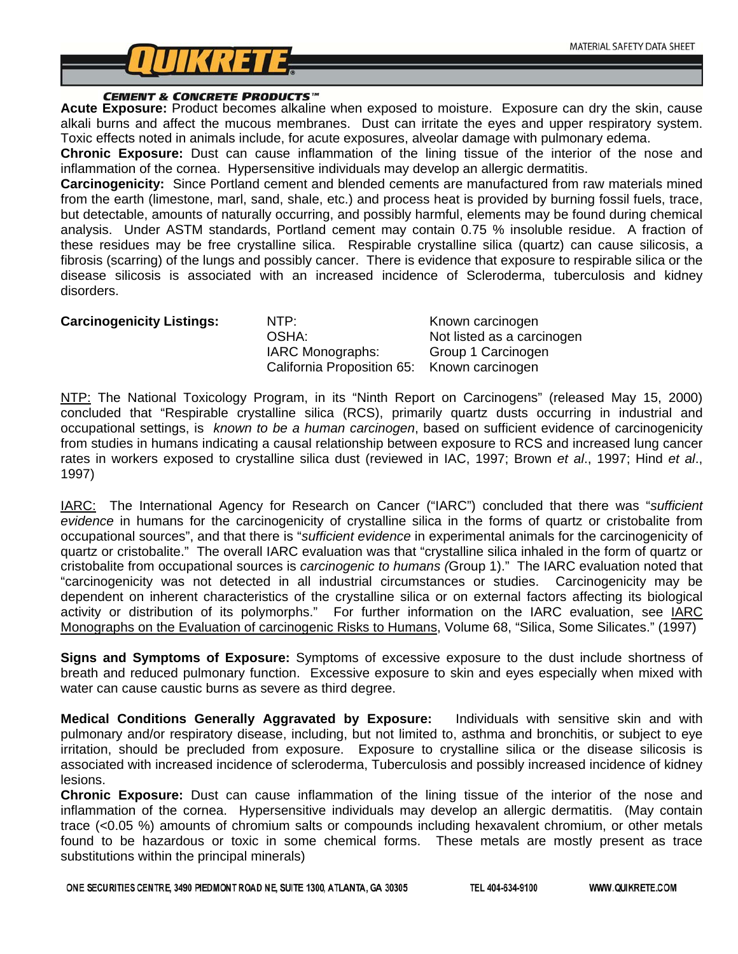

**CEMENT & CONCRETE PRODUCTS**<sup>\*\*</sup><br>**Acute Exposure:** Product becomes alkaline when exposed to moisture. Exposure can dry the skin, cause alkali burns and affect the mucous membranes. Dust can irritate the eyes and upper respiratory system. Toxic effects noted in animals include, for acute exposures, alveolar damage with pulmonary edema.

**Chronic Exposure:** Dust can cause inflammation of the lining tissue of the interior of the nose and inflammation of the cornea. Hypersensitive individuals may develop an allergic dermatitis.

**Carcinogenicity:** Since Portland cement and blended cements are manufactured from raw materials mined from the earth (limestone, marl, sand, shale, etc.) and process heat is provided by burning fossil fuels, trace, but detectable, amounts of naturally occurring, and possibly harmful, elements may be found during chemical analysis. Under ASTM standards, Portland cement may contain 0.75 % insoluble residue. A fraction of these residues may be free crystalline silica. Respirable crystalline silica (quartz) can cause silicosis, a fibrosis (scarring) of the lungs and possibly cancer. There is evidence that exposure to respirable silica or the disease silicosis is associated with an increased incidence of Scleroderma, tuberculosis and kidney disorders.

| <b>Carcinogenicity Listings:</b> | NTP:<br>OSHA:<br>IARC Monographs:<br>California Proposition 65: Known carcinogen | Known carcinogen<br>Not listed as a carcinogen<br>Group 1 Carcinogen |
|----------------------------------|----------------------------------------------------------------------------------|----------------------------------------------------------------------|
|                                  |                                                                                  |                                                                      |

NTP: The National Toxicology Program, in its "Ninth Report on Carcinogens" (released May 15, 2000) concluded that "Respirable crystalline silica (RCS), primarily quartz dusts occurring in industrial and occupational settings, is *known to be a human carcinogen*, based on sufficient evidence of carcinogenicity from studies in humans indicating a causal relationship between exposure to RCS and increased lung cancer rates in workers exposed to crystalline silica dust (reviewed in IAC, 1997; Brown *et al*., 1997; Hind *et al*., 1997)

IARC: The International Agency for Research on Cancer ("IARC") concluded that there was "*sufficient evidence* in humans for the carcinogenicity of crystalline silica in the forms of quartz or cristobalite from occupational sources", and that there is "*sufficient evidence* in experimental animals for the carcinogenicity of quartz or cristobalite." The overall IARC evaluation was that "crystalline silica inhaled in the form of quartz or cristobalite from occupational sources is *carcinogenic to humans (*Group 1)." The IARC evaluation noted that "carcinogenicity was not detected in all industrial circumstances or studies. Carcinogenicity may be dependent on inherent characteristics of the crystalline silica or on external factors affecting its biological activity or distribution of its polymorphs." For further information on the IARC evaluation, see IARC Monographs on the Evaluation of carcinogenic Risks to Humans, Volume 68, "Silica, Some Silicates." (1997)

**Signs and Symptoms of Exposure:** Symptoms of excessive exposure to the dust include shortness of breath and reduced pulmonary function. Excessive exposure to skin and eyes especially when mixed with water can cause caustic burns as severe as third degree.

**Medical Conditions Generally Aggravated by Exposure:** Individuals with sensitive skin and with pulmonary and/or respiratory disease, including, but not limited to, asthma and bronchitis, or subject to eye irritation, should be precluded from exposure. Exposure to crystalline silica or the disease silicosis is associated with increased incidence of scleroderma, Tuberculosis and possibly increased incidence of kidney lesions.

**Chronic Exposure:** Dust can cause inflammation of the lining tissue of the interior of the nose and inflammation of the cornea. Hypersensitive individuals may develop an allergic dermatitis. (May contain trace (<0.05 %) amounts of chromium salts or compounds including hexavalent chromium, or other metals found to be hazardous or toxic in some chemical forms. These metals are mostly present as trace substitutions within the principal minerals)

ONE SECURITIES CENTRE, 3490 PIEDMONT ROAD NE, SUITE 1300, ATLANTA, GA 30305

TEL 404-634-9100

WWW.QUIKRETE.COM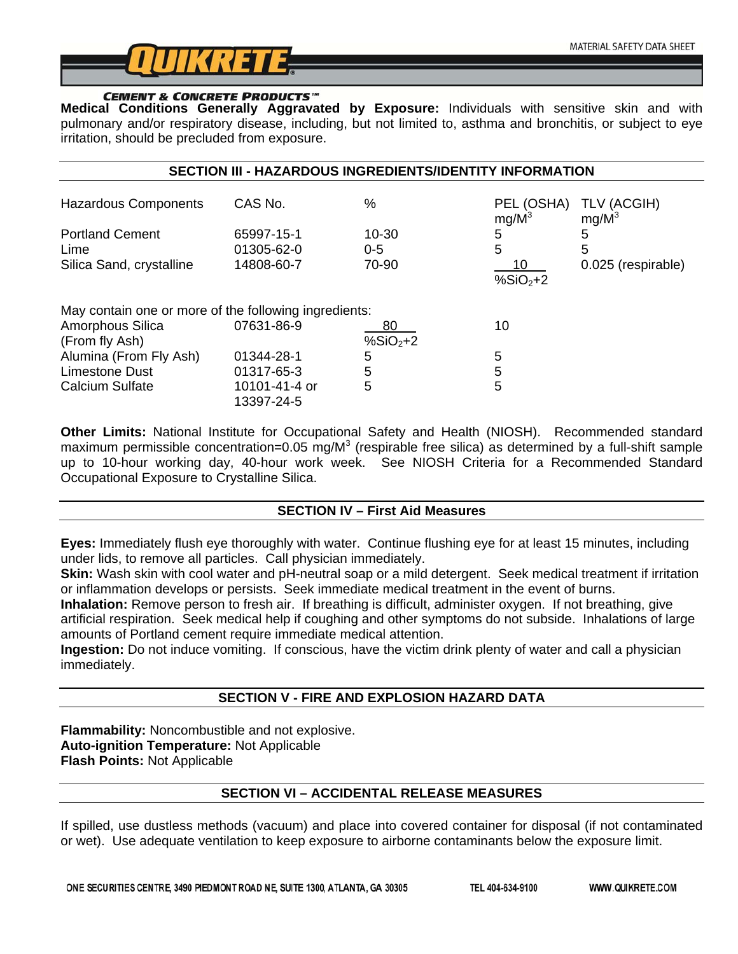

**CEMENT & CONCRETE PRODUCTS**<sup>"</sup><br>Medical Conditions Generally Aggravated by Exposure: Individuals with sensitive skin and with pulmonary and/or respiratory disease, including, but not limited to, asthma and bronchitis, or subject to eye irritation, should be precluded from exposure.

| <b>SECTION III - HAZARDOUS INGREDIENTS/IDENTITY INFORMATION</b> |                             |                  |                        |                         |
|-----------------------------------------------------------------|-----------------------------|------------------|------------------------|-------------------------|
| <b>Hazardous Components</b>                                     | CAS No.                     | %                | PEL (OSHA)<br>$mg/M^3$ | TLV (ACGIH)<br>$mg/M^3$ |
| <b>Portland Cement</b><br>Lime                                  | 65997-15-1<br>01305-62-0    | 10-30<br>$0 - 5$ | 5<br>5                 | 5<br>5                  |
| Silica Sand, crystalline                                        | 14808-60-7                  | 70-90            | 10<br>% $SiO2+2$       | 0.025 (respirable)      |
| May contain one or more of the following ingredients:           |                             |                  |                        |                         |
| Amorphous Silica<br>(From fly Ash)                              | 07631-86-9                  | 80<br>% $SiO2+2$ | 10                     |                         |
| Alumina (From Fly Ash)                                          | 01344-28-1                  | 5                | 5                      |                         |
| Limestone Dust                                                  | 01317-65-3                  | 5                | 5                      |                         |
| Calcium Sulfate                                                 | 10101-41-4 or<br>13397-24-5 | 5                | 5                      |                         |

**Other Limits:** National Institute for Occupational Safety and Health (NIOSH). Recommended standard maximum permissible concentration=0.05 mg/M<sup>3</sup> (respirable free silica) as determined by a full-shift sample up to 10-hour working day, 40-hour work week. See NIOSH Criteria for a Recommended Standard Occupational Exposure to Crystalline Silica.

# **SECTION IV – First Aid Measures**

**Eyes:** Immediately flush eye thoroughly with water. Continue flushing eye for at least 15 minutes, including under lids, to remove all particles. Call physician immediately.

**Skin:** Wash skin with cool water and pH-neutral soap or a mild detergent. Seek medical treatment if irritation or inflammation develops or persists. Seek immediate medical treatment in the event of burns.

**Inhalation:** Remove person to fresh air. If breathing is difficult, administer oxygen. If not breathing, give artificial respiration. Seek medical help if coughing and other symptoms do not subside. Inhalations of large amounts of Portland cement require immediate medical attention.

**Ingestion:** Do not induce vomiting. If conscious, have the victim drink plenty of water and call a physician immediately.

# **SECTION V - FIRE AND EXPLOSION HAZARD DATA**

**Flammability:** Noncombustible and not explosive. **Auto-ignition Temperature:** Not Applicable **Flash Points:** Not Applicable

# **SECTION VI – ACCIDENTAL RELEASE MEASURES**

If spilled, use dustless methods (vacuum) and place into covered container for disposal (if not contaminated or wet). Use adequate ventilation to keep exposure to airborne contaminants below the exposure limit.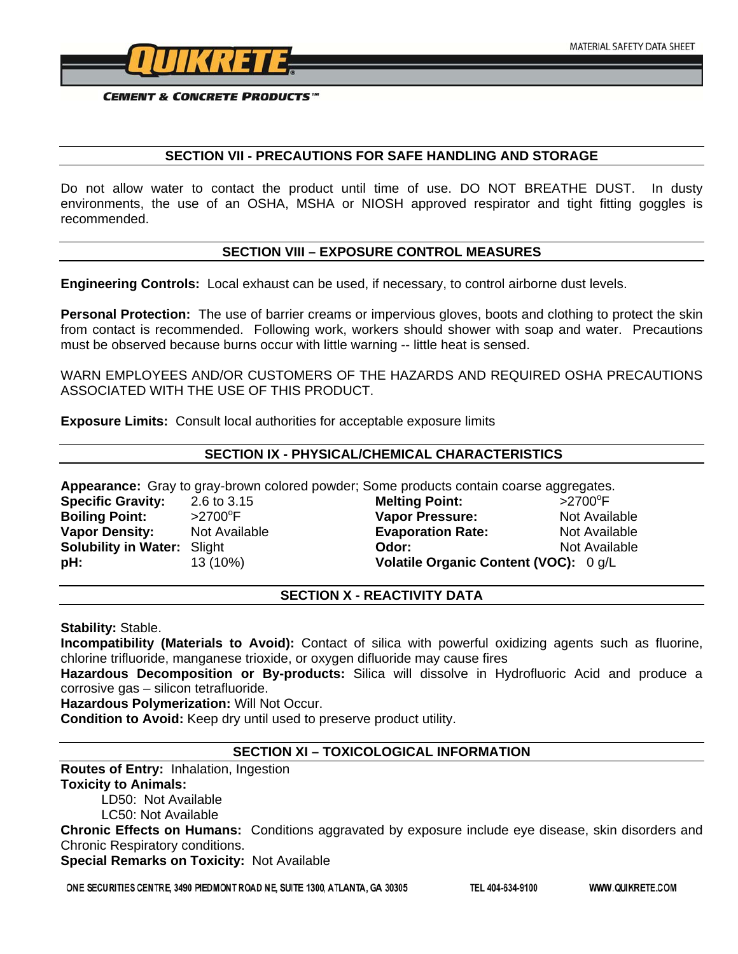

**CEMENT & CONCRETE PRODUCTS™** 

### **SECTION VII - PRECAUTIONS FOR SAFE HANDLING AND STORAGE**

Do not allow water to contact the product until time of use. DO NOT BREATHE DUST. In dusty environments, the use of an OSHA, MSHA or NIOSH approved respirator and tight fitting goggles is recommended.

### **SECTION VIII – EXPOSURE CONTROL MEASURES**

**Engineering Controls:** Local exhaust can be used, if necessary, to control airborne dust levels.

**Personal Protection:** The use of barrier creams or impervious gloves, boots and clothing to protect the skin from contact is recommended. Following work, workers should shower with soap and water. Precautions must be observed because burns occur with little warning -- little heat is sensed.

WARN EMPLOYEES AND/OR CUSTOMERS OF THE HAZARDS AND REQUIRED OSHA PRECAUTIONS ASSOCIATED WITH THE USE OF THIS PRODUCT.

**Exposure Limits:** Consult local authorities for acceptable exposure limits

### **SECTION IX - PHYSICAL/CHEMICAL CHARACTERISTICS**

**Appearance:** Gray to gray-brown colored powder; Some products contain coarse aggregates.

**Specific Gravity:** 2.6 to 3.15 **Melting Point:**<br> **Boiling Point:**  $\frac{1}{2700^{\circ}F}$  and **Vapor Pressure Boiling Point:** 

 $>2700$ <sup>o</sup>F **Vapor Pressure:** Not Available **Vapor Density:** Not Available **Evaporation Rate:** Not Available **Solubility in Water:** Slight **Containery Contains Color:** Not Available **Not Available pH:** 13 (10%) **Volatile Organic Content (VOC):** 0 g/L

#### **SECTION X - REACTIVITY DATA**

**Stability:** Stable.

**Incompatibility (Materials to Avoid):** Contact of silica with powerful oxidizing agents such as fluorine, chlorine trifluoride, manganese trioxide, or oxygen difluoride may cause fires

**Hazardous Decomposition or By-products:** Silica will dissolve in Hydrofluoric Acid and produce a corrosive gas – silicon tetrafluoride.

**Hazardous Polymerization:** Will Not Occur.

**Condition to Avoid:** Keep dry until used to preserve product utility.

# **SECTION XI – TOXICOLOGICAL INFORMATION**

**Routes of Entry:** Inhalation, Ingestion **Toxicity to Animals:** 

LD50: Not Available

LC50: Not Available

**Chronic Effects on Humans:** Conditions aggravated by exposure include eye disease, skin disorders and Chronic Respiratory conditions.

**Special Remarks on Toxicity:** Not Available

ONE SECURITIES CENTRE, 3490 PIEDMONT ROAD NE, SUITE 1300, ATLANTA, GA 30305

TEL 404-634-9100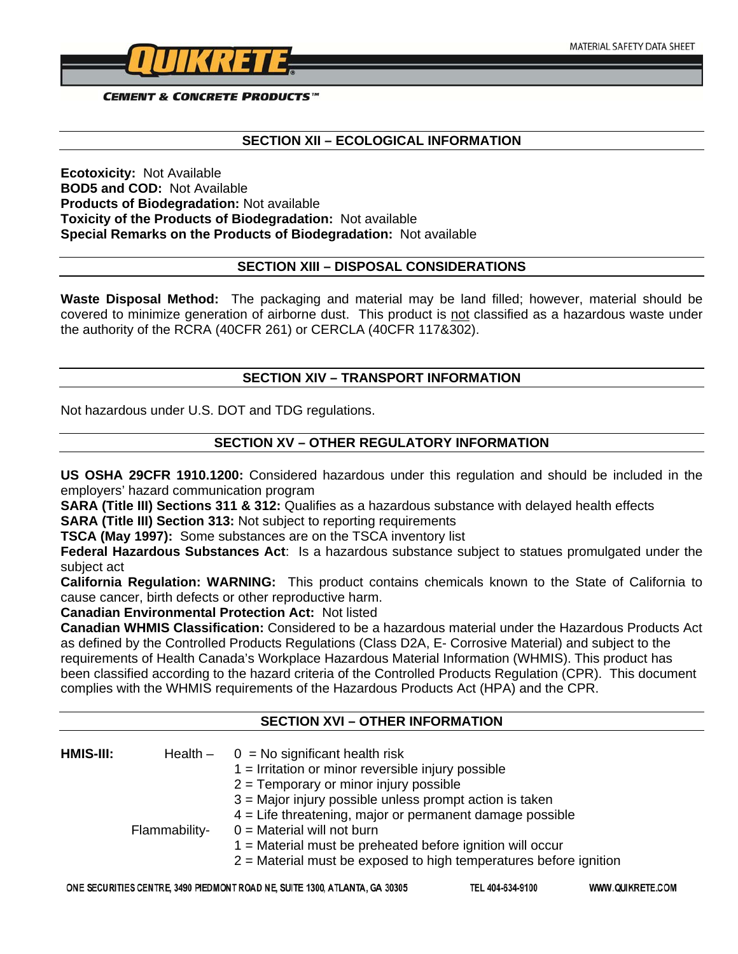

**CEMENT & CONCRETE PRODUCTS™** 

#### **SECTION XII – ECOLOGICAL INFORMATION**

**Ecotoxicity:** Not Available **BOD5 and COD:** Not Available **Products of Biodegradation:** Not available **Toxicity of the Products of Biodegradation:** Not available **Special Remarks on the Products of Biodegradation:** Not available

#### **SECTION XIII – DISPOSAL CONSIDERATIONS**

**Waste Disposal Method:** The packaging and material may be land filled; however, material should be covered to minimize generation of airborne dust. This product is not classified as a hazardous waste under the authority of the RCRA (40CFR 261) or CERCLA (40CFR 117&302).

### **SECTION XIV – TRANSPORT INFORMATION**

Not hazardous under U.S. DOT and TDG regulations.

### **SECTION XV – OTHER REGULATORY INFORMATION**

**US OSHA 29CFR 1910.1200:** Considered hazardous under this regulation and should be included in the employers' hazard communication program

**SARA (Title III) Sections 311 & 312:** Qualifies as a hazardous substance with delayed health effects **SARA (Title III) Section 313:** Not subject to reporting requirements

**TSCA (May 1997):** Some substances are on the TSCA inventory list

**Federal Hazardous Substances Act**: Is a hazardous substance subject to statues promulgated under the subject act

**California Regulation: WARNING:** This product contains chemicals known to the State of California to cause cancer, birth defects or other reproductive harm.

**Canadian Environmental Protection Act:** Not listed

**Canadian WHMIS Classification:** Considered to be a hazardous material under the Hazardous Products Act as defined by the Controlled Products Regulations (Class D2A, E- Corrosive Material) and subject to the requirements of Health Canada's Workplace Hazardous Material Information (WHMIS). This product has been classified according to the hazard criteria of the Controlled Products Regulation (CPR). This document complies with the WHMIS requirements of the Hazardous Products Act (HPA) and the CPR.

#### **SECTION XVI – OTHER INFORMATION**

| HMIS-III: |               | Health $-$ 0 = No significant health risk<br>$1 =$ Irritation or minor reversible injury possible<br>$2 =$ Temporary or minor injury possible<br>$3$ = Major injury possible unless prompt action is taken                       |
|-----------|---------------|----------------------------------------------------------------------------------------------------------------------------------------------------------------------------------------------------------------------------------|
|           | Flammability- | $4$ = Life threatening, major or permanent damage possible<br>$0 =$ Material will not burn<br>$1$ = Material must be preheated before ignition will occur<br>$2$ = Material must be exposed to high temperatures before ignition |

TEL 404-634-9100

WWW.QUIKRETE.COM